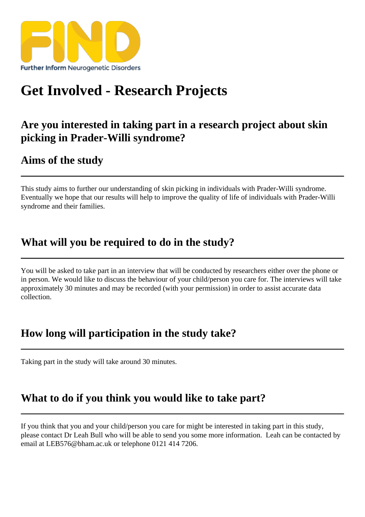## [Get Involved - Res](https://findresources.co.uk)earch Projects

Are you interested in taking part in a research project about skin picking in Prader-Willi syndrome?

Aims of the study

This study aims to ther our understanding skin picking in individuals with Prader-Willi syndrome. Eventually we hope that our results will help to row the quality of life of individuals with Prader-Willi syndrome and their families.

## What will you be required to do in the study?

You will be asked to take part am interview that will be conducted by researchers either over the phone or in person. We would like to iscuss the behaviout your child/person you care for. The interviews will take approximately 30 minutes and may be recorded (with your permission) in order to assist accurate data collection.

## How long will participation in the study take?

Taking part in the study will take arou $60$  minutes.

## What to do if you think you would like to take part?

If you think that you and your child/person you care for might be interested in taking part in this study, please contact Dr Leah Bull who will be able to send you some more information. Leah can be contacted by email at LEB576@bham.ac.uk or telephone 0121 414 7206.